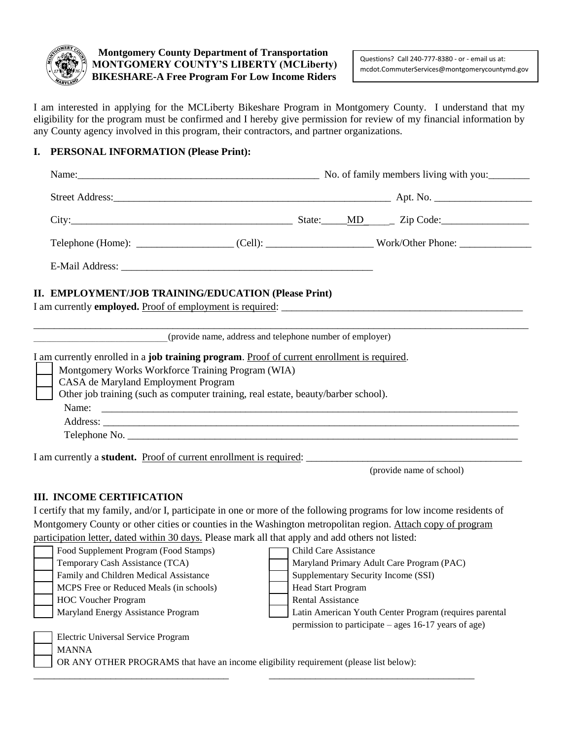

**Montgomery County Department of Transportation MONTGOMERY COUNTY'S LIBERTY (MCLiberty) BIKESHARE-A Free Program For Low Income Riders**

Questions? Call 240-777-8380 - or - email us at: mcdot.CommuterServices@montgomerycountymd.gov

I am interested in applying for the MCLiberty Bikeshare Program in Montgomery County. I understand that my eligibility for the program must be confirmed and I hereby give permission for review of my financial information by any County agency involved in this program, their contractors, and partner organizations.

## **I. PERSONAL INFORMATION (Please Print):**

| City: $\frac{C_1}{C_2}$ $\frac{C_2}{C_3}$ $\frac{C_3}{C_4}$ $\frac{C_4}{C_5}$ $\frac{C_5}{C_6}$ $\frac{C_5}{C_6}$ $\frac{C_7}{C_6}$ $\frac{C_7}{C_6}$ $\frac{C_8}{C_6}$ $\frac{C_7}{C_6}$ $\frac{C_8}{C_6}$ $\frac{C_9}{C_6}$ $\frac{C_9}{C_6}$ $\frac{C_1}{C_6}$ $\frac{C_1}{C_6}$ $\frac{C$ |  |  |  |  |  |
|-----------------------------------------------------------------------------------------------------------------------------------------------------------------------------------------------------------------------------------------------------------------------------------------------|--|--|--|--|--|
|                                                                                                                                                                                                                                                                                               |  |  |  |  |  |
|                                                                                                                                                                                                                                                                                               |  |  |  |  |  |
|                                                                                                                                                                                                                                                                                               |  |  |  |  |  |
| II. EMPLOYMENT/JOB TRAINING/EDUCATION (Please Print)                                                                                                                                                                                                                                          |  |  |  |  |  |
|                                                                                                                                                                                                                                                                                               |  |  |  |  |  |
| Montgomery Works Workforce Training Program (WIA)<br>CASA de Maryland Employment Program                                                                                                                                                                                                      |  |  |  |  |  |
| (provide name, address and telephone number of employer)<br>I am currently enrolled in a job training program. Proof of current enrollment is required.<br>Other job training (such as computer training, real estate, beauty/barber school).                                                 |  |  |  |  |  |
|                                                                                                                                                                                                                                                                                               |  |  |  |  |  |

(provide name of school)

## **III. INCOME CERTIFICATION**

I certify that my family, and/or I, participate in one or more of the following programs for low income residents of Montgomery County or other cities or counties in the Washington metropolitan region. Attach copy of program participation letter, dated within 30 days. Please mark all that apply and add others not listed:

| Food Supplement Program (Food Stamps)                                                  | <b>Child Care Assistance</b>                           |  |  |  |  |
|----------------------------------------------------------------------------------------|--------------------------------------------------------|--|--|--|--|
| Temporary Cash Assistance (TCA)                                                        | Maryland Primary Adult Care Program (PAC)              |  |  |  |  |
| Family and Children Medical Assistance                                                 | Supplementary Security Income (SSI)                    |  |  |  |  |
| MCPS Free or Reduced Meals (in schools)                                                | <b>Head Start Program</b>                              |  |  |  |  |
| <b>HOC Voucher Program</b>                                                             | <b>Rental Assistance</b>                               |  |  |  |  |
| Maryland Energy Assistance Program                                                     | Latin American Youth Center Program (requires parental |  |  |  |  |
|                                                                                        | permission to participate – ages 16-17 years of age)   |  |  |  |  |
| Electric Universal Service Program                                                     |                                                        |  |  |  |  |
| <b>MANNA</b>                                                                           |                                                        |  |  |  |  |
| OR ANY OTHER PROGRAMS that have an income eligibility requirement (please list below): |                                                        |  |  |  |  |
|                                                                                        |                                                        |  |  |  |  |